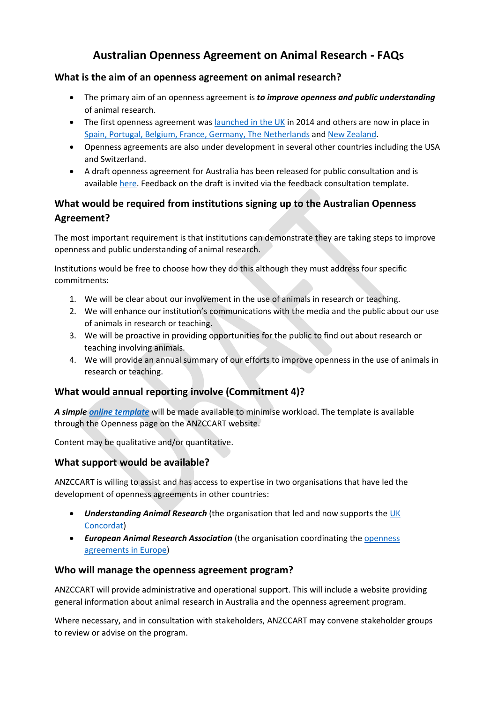# **Australian Openness Agreement on Animal Research - FAQs**

#### **What is the aim of an openness agreement on animal research?**

- The primary aim of an openness agreement is *to improve openness and public understanding*  of animal research.
- The first openness agreement was [launched in the UK](https://concordatopenness.org.uk/) in 2014 and others are now in place in [Spain, Portugal, Belgium, France,](https://www.eara.eu/transparency-agreements) Germany, The Netherlands and [New Zealand.](https://anzccart.org.nz/business-consultancy-on-the-edge/openness-agreement/)
- Openness agreements are also under development in several other countries including the USA and Switzerland.
- A draft openness agreement for Australia has been released for public consultation and is available [here.](https://anzccart.adelaide.edu.au/ua/media/574/draft-openness-agreement.pdf) Feedback on the draft is invited via the feedback consultation template.

## **What would be required from institutions signing up to the Australian Openness Agreement?**

The most important requirement is that institutions can demonstrate they are taking steps to improve openness and public understanding of animal research.

Institutions would be free to choose how they do this although they must address four specific commitments:

- 1. We will be clear about our involvement in the use of animals in research or teaching.
- 2. We will enhance our institution's communications with the media and the public about our use of animals in research or teaching.
- 3. We will be proactive in providing opportunities for the public to find out about research or teaching involving animals.
- 4. We will provide an annual summary of our efforts to improve openness in the use of animals in research or teaching.

#### **What would annual reporting involve (Commitment 4)?**

*A simpl[e online template](https://anzccart.adelaide.edu.au/ua/media/568/annual-summary-template_1.pdf)* will be made available to minimise workload. The template is available through the Openness page on the ANZCCART website.

Content may be qualitative and/or quantitative.

#### **What support would be available?**

ANZCCART is willing to assist and has access to expertise in two organisations that have led the development of openness agreements in other countries:

- *Understanding Animal Research* (the organisation that led and now supports the [UK](https://concordatopenness.org.uk/)  [Concordat\)](https://concordatopenness.org.uk/)
- *European Animal Research Association* (the organisation coordinating th[e openness](https://www.eara.eu/transparency-agreements)  [agreements](https://www.eara.eu/transparency-agreements) in Europe)

#### **Who will manage the openness agreement program?**

ANZCCART will provide administrative and operational support. This will include a website providing general information about animal research in Australia and the openness agreement program.

Where necessary, and in consultation with stakeholders, ANZCCART may convene stakeholder groups to review or advise on the program.